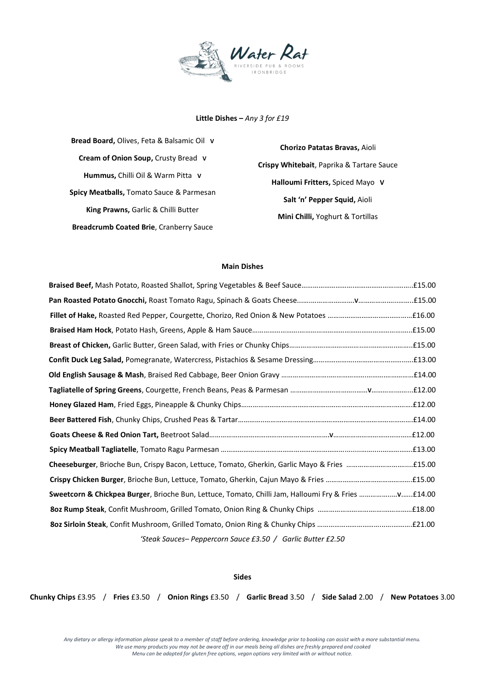

**Little Dishes –** *Any 3 for £19*

**Bread Board,** Olives, Feta & Balsamic Oil **V Cream of Onion Soup,** Crusty Bread **V Hummus,** Chilli Oil & Warm Pitta **V Spicy Meatballs,** Tomato Sauce & Parmesan **King Prawns,** Garlic & Chilli Butter **Breadcrumb Coated Brie**, Cranberry Sauce

**Chorizo Patatas Bravas,** Aioli **Crispy Whitebait**, Paprika & Tartare Sauce **Halloumi Fritters,** Spiced Mayo **V Salt 'n' Pepper Squid,** Aioli **Mini Chilli,** Yoghurt & Tortillas

## **Main Dishes**

| 'Steak Sauces-Peppercorn Sauce £3.50 / Garlic Butter £2.50 |
|------------------------------------------------------------|

**Sides**

**Chunky Chips** £3.95 / **Fries** £3.50 / **Onion Rings** £3.50 / **Garlic Bread** 3.50 / **Side Salad** 2.00 / **New Potatoes** 3.00